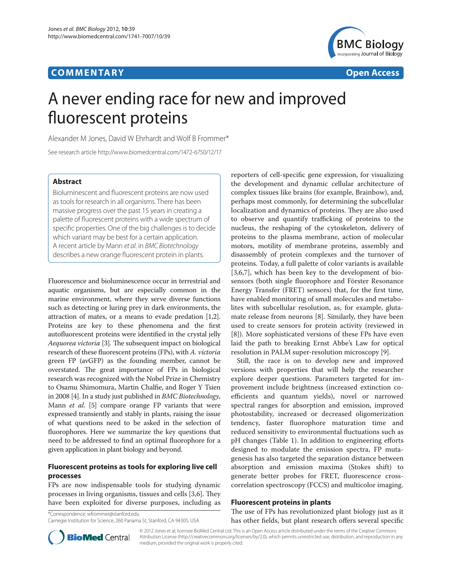# **CO M M E N TA R Y Open Access**



# A never ending race for new and improved fluorescent proteins

Alexander M Jones, David W Ehrhardt and Wolf B Frommer\*

See research article http://www.biomedcentral.com/1472-6750/12/17

# **Abstract**

Bioluminescent and fluorescent proteins are now used as tools for research in all organisms. There has been massive progress over the past 15 years in creating a palette of fluorescent proteins with a wide spectrum of specific properties. One of the big challenges is to decide which variant may be best for a certain application. A recent article by Mann *et al*. in *BMC Biotechnology* describes a new orange fluorescent protein in plants.

Fluorescence and bioluminescence occur in terrestrial and aquatic organisms, but are especially common in the marine environment, where they serve diverse functions such as detecting or luring prey in dark environments, the attraction of mates, or a means to evade predation [1,2]. Proteins are key to these phenomena and the first autofluorescent proteins were identified in the crystal jelly *Aequorea victoria* [3]*.* The subsequent impact on biological research of these fluorescent proteins (FPs), with *A. victoria* green FP (avGFP) as the founding member, cannot be overstated. The great importance of FPs in biological research was recognized with the Nobel Prize in Chemistry to Osamu Shimomura, Martin Chalfie, and Roger Y Tsien in 2008 [4]. In a study just published in *BMC Biotechnology*, Mann *et al*. [5] compare orange FP variants that were expressed transiently and stably in plants, raising the issue of what questions need to be asked in the selection of fluorophores. Here we summarize the key questions that need to be addressed to find an optimal fluorophore for a given application in plant biology and beyond.

# **Fluorescent proteins as tools for exploring live cell processes**

FPs are now indispensable tools for studying dynamic processes in living organisms, tissues and cells [3,6]. They have been exploited for diverse purposes, including as

\*Correspondence: wfrommer@stanford.edu

reporters of cell-specific gene expression, for visualizing the development and dynamic cellular architecture of complex tissues like brains (for example, Brainbow), and, perhaps most commonly, for determining the subcellular localization and dynamics of proteins. They are also used to observe and quantify trafficking of proteins to the nucleus, the reshaping of the cytoskeleton, delivery of proteins to the plasma membrane, action of molecular motors, motility of membrane proteins, assembly and disassembly of protein complexes and the turnover of proteins. Today, a full palette of color variants is available [3,6,7], which has been key to the development of biosensors (both single fluorophore and Förster Resonance Energy Transfer (FRET) sensors) that, for the first time, have enabled monitoring of small molecules and metabolites with subcellular resolution, as, for example, glutamate release from neurons [8]. Similarly, they have been used to create sensors for protein activity (reviewed in [8]). More sophisticated versions of these FPs have even laid the path to breaking Ernst Abbe's Law for optical resolution in PALM super-resolution microscopy [9].

Still, the race is on to develop new and improved versions with properties that will help the researcher explore deeper questions. Parameters targeted for improvement include brightness (increased extinction coefficients and quantum yields), novel or narrowed spectral ranges for absorption and emission, improved photostability, increased or decreased oligomerization tendency, faster fluorophore maturation time and reduced sensitivity to environmental fluctuations such as pH changes (Table 1). In addition to engineering efforts designed to modulate the emission spectra, FP mutagenesis has also targeted the separation distance between absorption and emission maxima (Stokes shift) to generate better probes for FRET, fluorescence crosscorrelation spectroscopy (FCCS) and multicolor imaging.

#### **Fluorescent proteins in plants**

The use of FPs has revolutionized plant biology just as it has other fields, but plant research offers several specific



© 2012 Jones et al; licensee BioMed Central Ltd. This is an Open Access article distributed under the terms of the Creative Commons Attribution License (http://creativecommons.org/licenses/by/2.0), which permits unrestricted use, distribution, and reproduction in any medium, provided the original work is properly cited.

Carnegie Institution for Science, 260 Panama St, Stanford, CA 94305, USA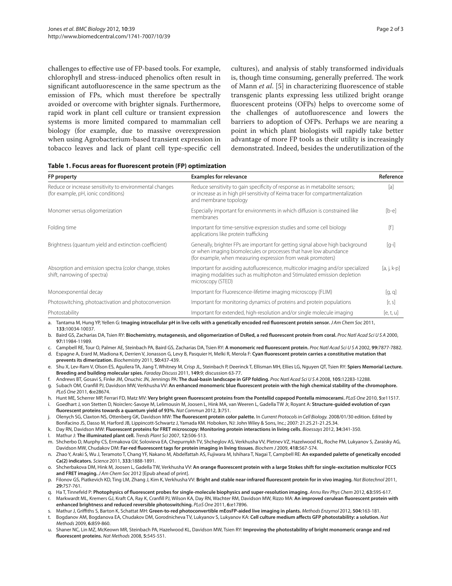challenges to effective use of FP-based tools. For example, chlorophyll and stress-induced phenolics often result in significant autofluorescence in the same spectrum as the emission of FPs, which must therefore be spectrally avoided or overcome with brighter signals. Furthermore, rapid work in plant cell culture or transient expression systems is more limited compared to mammalian cell biology (for example, due to massive overexpression when using Agrobacterium-based transient expression in tobacco leaves and lack of plant cell type-specific cell

cultures), and analysis of stably transformed individuals is, though time consuming, generally preferred. The work of Mann *et al*. [5] in characterizing fluorescence of stable transgenic plants expressing less utilized bright orange fluorescent proteins (OFPs) helps to overcome some of the challenges of autofluorescence and lowers the barriers to adoption of OFPs. Perhaps we are nearing a point in which plant biologists will rapidly take better advantage of more FP tools as their utility is increasingly demonstrated. Indeed, besides the underutilization of the

|  |  | Table 1. Focus areas for fluorescent protein (FP) optimization |  |  |
|--|--|----------------------------------------------------------------|--|--|
|--|--|----------------------------------------------------------------|--|--|

| FP property                                                                                    | <b>Examples for relevance</b>                                                                                                                                                                                       | Reference     |
|------------------------------------------------------------------------------------------------|---------------------------------------------------------------------------------------------------------------------------------------------------------------------------------------------------------------------|---------------|
| Reduce or increase sensitivity to environmental changes<br>(for example, pH, ionic conditions) | Reduce sensitivity to gain specificity of response as in metabolite sensors;<br>or increase as in high pH sensitivity of Keima tracer for compartmentalization<br>and membrane topology                             |               |
| Monomer versus oligomerization                                                                 | Especially important for environments in which diffusion is constrained like<br>membranes                                                                                                                           | $[b-e]$       |
| Folding time                                                                                   | Important for time-sensitive expression studies and some cell biology<br>applications like protein trafficking                                                                                                      | [f]           |
| Brightness (quantum yield and extinction coefficient)                                          | Generally, brighter FPs are important for getting signal above high background<br>or when imaging biomolecules or processes that have low abundance<br>(for example, when measuring expression from weak promoters) |               |
| Absorption and emission spectra (color change, stokes<br>shift, narrowing of spectra)          | Important for avoiding autofluorescence, multicolor imaging and/or specialized<br>imaging modalities such as multiphoton and Stimulated emission depletion<br>microscopy (STED)                                     | $[a, j, k-p]$ |
| Monoexponential decay                                                                          | Important for Fluorescence-lifetime imaging microscopy (FLIM)                                                                                                                                                       | [q, q]        |
| Photoswitching, photoactivation and photoconversion                                            | Important for monitoring dynamics of proteins and protein populations                                                                                                                                               | [r, s]        |
| Photostability                                                                                 | Important for extended, high-resolution and/or single molecule imaging                                                                                                                                              | [e, t, u]     |

a. Tantama M, Hung YP, Yellen G: **Imaging intracellular pH in live cells with a genetically encoded red fluorescent protein sensor.** *J Am Chem Soc* 2011, **133:**10034-10037.

- b. Baird GS, Zacharias DA, Tsien RY: **Biochemistry, mutagenesis, and oligomerization of DsRed, a red fluorescent protein from coral.** *Proc Natl Acad Sci U S A* 2000, **97:**11984-11989.
- c. Campbell RE, Tour O, Palmer AE, Steinbach PA, Baird GS, Zacharias DA, Tsien RY: **A monomeric red fluorescent protein.** *Proc Natl Acad Sci U S A* 2002, **99:**7877-7882.
- d. Espagne A, Erard M, Madiona K, Derrien V, Jonasson G, Levy B, Pasquier H, Melki R, Merola F: **Cyan fluorescent protein carries a constitutive mutation that prevents its dimerization.** *Biochemistry* 2011, **50:**437-439.
- e. Shu X, Lev-Ram V, Olson ES, Aguilera TA, Jiang T, Whitney M, Crisp JL, Steinbach P, Deerinck T, Ellisman MH, Ellies LG, Nguyen QT, Tsien RY: **Spiers Memorial Lecture. Breeding and building molecular spies.** *Faraday Discuss* 2011, **149:**9; discussion 63-77.
- f. Andrews BT, Gosavi S, Finke JM, Onuchic JN, Jennings PA: **The dual-basin landscape in GFP folding.** *Proc Natl Acad Sci U S A* 2008, **105:**12283-12288.
- g. Subach OM, Cranfill PJ, Davidson MW, Verkhusha VV: **An enhanced monomeric blue fluorescent protein with the high chemical stability of the chromophore.**  *PLoS One* 2011, **6:**e28674.
- h. Hunt ME, Scherrer MP, Ferrari FD, Matz MV: **Very bright green fluorescent proteins from the Pontellid copepod Pontella mimocerami.** *PLoS One* 2010, **5:**e11517.
- i. Goedhart J, von Stetten D, Noirclerc-Savoye M, Lelimousin M, Joosen L, Hink MA, van Weeren L, Gadella TW Jr, Royant A: **Structure-guided evolution of cyan fluorescent proteins towards a quantum yield of 93%.** *Nat Commun* 2012, **3:**751.
- j. Olenych SG, Claxton NS, Ottenberg GK, Davidson MW: **The fluorescent protein color palette.** In *Current Protocols in Cell Biology.* 2008/01/30 edition. Edited by Bonifacino JS, Dasso M, Harford JB, Lippincott-Schwartz J, Yamada KM. Hoboken, NJ: John Wiley & Sons, Inc.; 2007: 21.25.21-21.25.34.
- k. Day RN, Davidson MW: **Fluorescent proteins for FRET microscopy: Monitoring protein interactions in living cells.** *Bioessays* 2012, **34:**341-350.
- l. Mathur J: **The illuminated plant cell.** *Trends Plant Sci* 2007, **12:**506-513.
- m. Shcherbo D, Murphy CS, Ermakova GV, Solovieva EA, Chepurnykh TV, Shcheglov AS, Verkhusha VV, Pletnev VZ, Hazelwood KL, Roche PM, Lukyanov S, Zaraisky AG, Davidson MW, Chudakov DM: **Far-red fluorescent tags for protein imaging in living tissues.** *Biochem J* 2009, **418:**567-574.
- n. Zhao Y, Araki S, Wu J, Teramoto T, Chang YF, Nakano M, Abdelfattah AS, Fujiwara M, Ishihara T, Nagai T, Campbell RE: **An expanded palette of genetically encoded Ca(2) indicators.** *Science* 2011, **333:**1888-1891.
- o. Shcherbakova DM, Hink M, Joosen L, Gadella TW, Verkhusha VV: **An orange fluorescent protein with a large Stokes shift for single-excitation multicolor FCCS and FRET imaging.** *J Am Chem Soc* 2012 [Epub ahead of print].
- p. Filonov GS, Piatkevich KD, Ting LM, Zhang J, Kim K, Verkhusha VV: **Bright and stable near-infrared fluorescent protein for in vivo imaging.** *Nat Biotechnol* 2011, **29:**757-761.
- q. Ha T, Tinnefeld P: **Photophysics of fluorescent probes for single-molecule biophysics and super-resolution imaging.** *Annu Rev Phys Chem* 2012, **63:**595-617.

r. Markwardt ML, Kremers GJ, Kraft CA, Ray K, Cranfill PJ, Wilson KA, Day RN, Wachter RM, Davidson MW, Rizzo MA: **An improved cerulean fluorescent protein with enhanced brightness and reduced reversible photoswitching.** *PLoS One* 2011, **6:**e17896.

- s. Mathur J, Griffiths S, Barton K, Schattat MH: **Green-to-red photoconvertible mEosFP-aided live imaging in plants.** *Methods Enzymol* 2012, **504:**163-181. t. Bogdanov AM, Bogdanova EA, Chudakov DM, Gorodnicheva TV, Lukyanov S, Lukyanov KA: **Cell culture medium affects GFP photostability: a solution.** *Nat Methods* 2009, **6:**859-860.
- u. Shaner NC, Lin MZ, McKeown MR, Steinbach PA, Hazelwood KL, Davidson MW, Tsien RY: **Improving the photostability of bright monomeric orange and red fluorescent proteins.** *Nat Methods* 2008, **5:**545-551.